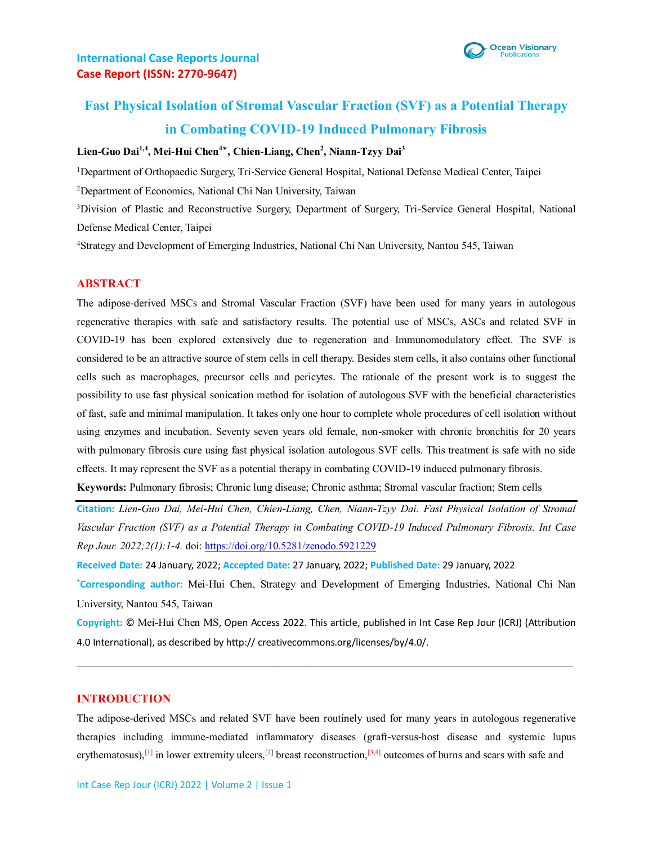

# **Fast Physical Isolation of Stromal Vascular Fraction (SVF) as a Potential Therapy in Combating COVID-19 Induced Pulmonary Fibrosis**

#### **Lien-Guo Dai1,4, Mei-Hui Chen<sup>4</sup>**\* **, Chien-Liang, Chen<sup>2</sup> , Niann-Tzyy Dai<sup>3</sup>**

<sup>1</sup>Department of Orthopaedic Surgery, Tri‐Service General Hospital, National Defense Medical Center, Taipei

<sup>2</sup>Department of Economics, National Chi Nan University, Taiwan

<sup>3</sup>Division of Plastic and Reconstructive Surgery, Department of Surgery, Tri-Service General Hospital, National Defense Medical Center, Taipei

<sup>4</sup>Strategy and Development of Emerging Industries, National Chi Nan University, Nantou 545, Taiwan

#### **ABSTRACT**

The adipose-derived MSCs and Stromal Vascular Fraction (SVF) have been used for many years in autologous regenerative therapies with safe and satisfactory results. The potential use of MSCs, ASCs and related SVF in COVID-19 has been explored extensively due to regeneration and Immunomodulatory effect. The SVF is considered to be an attractive source of stem cells in cell therapy. Besides stem cells, it also contains other functional cells such as macrophages, precursor cells and pericytes. The rationale of the present work is to suggest the possibility to use fast physical sonication method for isolation of autologous SVF with the beneficial characteristics of fast, safe and minimal manipulation. It takes only one hour to complete whole procedures of cell isolation without using enzymes and incubation. Seventy seven years old female, non-smoker with chronic bronchitis for 20 years with pulmonary fibrosis cure using fast physical isolation autologous SVF cells. This treatment is safe with no side effects. It may represent the SVF as a potential therapy in combating COVID-19 induced pulmonary fibrosis.

**Keywords:** Pulmonary fibrosis; Chronic lung disease; Chronic asthma; Stromal vascular fraction; Stem cells

**Citation:** *Lien-Guo Dai, Mei-Hui Chen, Chien-Liang, Chen, Niann-Tzyy Dai. Fast Physical Isolation of Stromal Vascular Fraction (SVF) as a Potential Therapy in Combating COVID-19 Induced Pulmonary Fibrosis. Int Case Rep Jour. 2022;2(1):1-4.* doi:<https://doi.org/10.5281/zenodo.5921229>

**Received Date:** 24 January, 2022; **Accepted Date:** 27 January, 2022; **Published Date:** 29 January, 2022

**\*Corresponding author:** Mei-Hui Chen, Strategy and Development of Emerging Industries, National Chi Nan University, Nantou 545, Taiwan

**Copyright:** © Mei-Hui Chen MS, Open Access 2022. This article, published in Int Case Rep Jour (ICRJ) (Attribution 4.0 International), as described by http:// creativecommons.org/licenses/by/4.0/.

#### **INTRODUCTION**

The adipose-derived MSCs and related SVF have been routinely used for many years in autologous regenerative therapies including immune-mediated inflammatory diseases (graft-versus-host disease and systemic lupus erythematosus),<sup>[1]</sup> in lower extremity ulcers,<sup>[2]</sup> breast reconstruction,  $[3,4]$  outcomes of burns and scars with safe and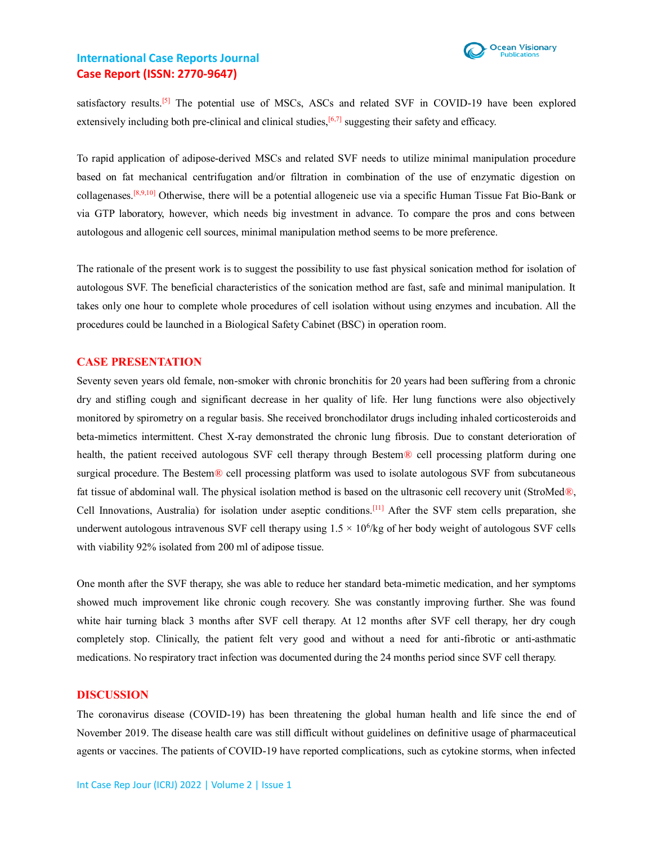

satisfactory results.<sup>[5]</sup> The potential use of MSCs, ASCs and related SVF in COVID-19 have been explored extensively including both pre-clinical and clinical studies, $[6,7]$  suggesting their safety and efficacy.

To rapid application of adipose-derived MSCs and related SVF needs to utilize minimal manipulation procedure based on fat mechanical centrifugation and/or filtration in combination of the use of enzymatic digestion on collagenases.[8,9,10] Otherwise, there will be a potential allogeneic use via a specific Human Tissue Fat Bio-Bank or via GTP laboratory, however, which needs big investment in advance. To compare the pros and cons between autologous and allogenic cell sources, minimal manipulation method seems to be more preference.

The rationale of the present work is to suggest the possibility to use fast physical sonication method for isolation of autologous SVF. The beneficial characteristics of the sonication method are fast, safe and minimal manipulation. It takes only one hour to complete whole procedures of cell isolation without using enzymes and incubation. All the procedures could be launched in a Biological Safety Cabinet (BSC) in operation room.

#### **CASE PRESENTATION**

Seventy seven years old female, non-smoker with chronic bronchitis for 20 years had been suffering from a chronic dry and stifling cough and significant decrease in her quality of life. Her lung functions were also objectively monitored by spirometry on a regular basis. She received bronchodilator drugs including inhaled corticosteroids and beta-mimetics intermittent. Chest X-ray demonstrated the chronic lung fibrosis. Due to constant deterioration of health, the patient received autologous SVF cell therapy through Bestem<sup>®</sup> cell processing platform during one surgical procedure. The Bestem<sup>®</sup> cell processing platform was used to isolate autologous SVF from subcutaneous fat tissue of abdominal wall. The physical isolation method is based on the ultrasonic cell recovery unit (StroMed®, Cell Innovations, Australia) for isolation under aseptic conditions.[11] After the SVF stem cells preparation, she underwent autologous intravenous SVF cell therapy using  $1.5 \times 10^6$ /kg of her body weight of autologous SVF cells with viability 92% isolated from 200 ml of adipose tissue.

One month after the SVF therapy, she was able to reduce her standard beta-mimetic medication, and her symptoms showed much improvement like chronic cough recovery. She was constantly improving further. She was found white hair turning black 3 months after SVF cell therapy. At 12 months after SVF cell therapy, her dry cough completely stop. Clinically, the patient felt very good and without a need for anti-fibrotic or anti-asthmatic medications. No respiratory tract infection was documented during the 24 months period since SVF cell therapy.

#### **DISCUSSION**

The coronavirus disease (COVID-19) has been threatening the global human health and life since the end of November 2019. The disease health care was still difficult without guidelines on definitive usage of pharmaceutical agents or vaccines. The patients of COVID-19 have reported complications, such as cytokine storms, when infected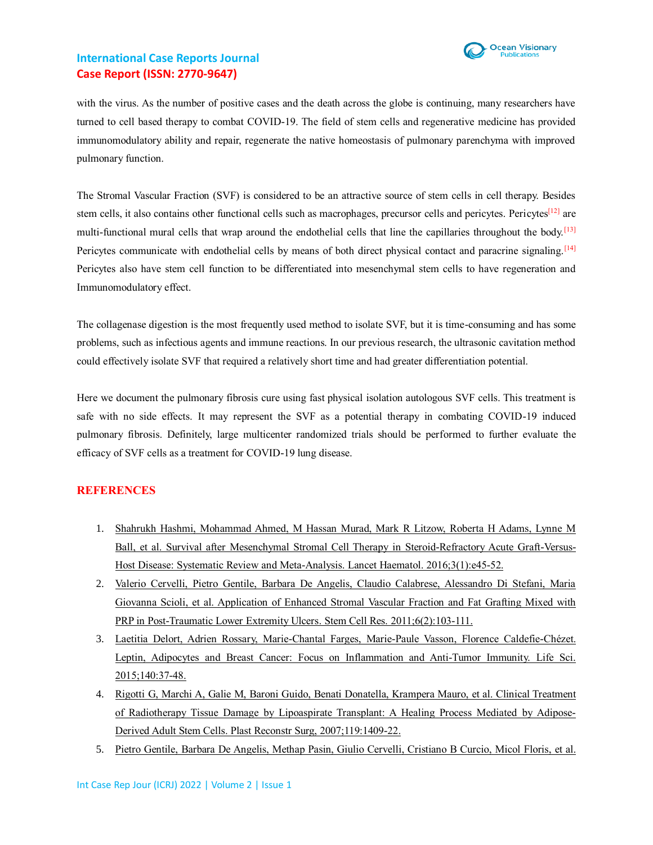

with the virus. As the number of positive cases and the death across the globe is continuing, many researchers have turned to cell based therapy to combat COVID-19. The field of stem cells and regenerative medicine has provided immunomodulatory ability and repair, regenerate the native homeostasis of pulmonary parenchyma with improved pulmonary function.

The Stromal Vascular Fraction (SVF) is considered to be an attractive source of stem cells in cell therapy. Besides stem cells, it also contains other functional cells such as macrophages, precursor cells and pericytes. Pericytes<sup>[12]</sup> are multi-functional mural cells that wrap around the endothelial cells that line the capillaries throughout the body.<sup>[13]</sup> Pericytes communicate with endothelial cells by means of both direct physical contact and paracrine signaling. [14] Pericytes also have stem cell function to be differentiated into mesenchymal stem cells to have regeneration and Immunomodulatory effect.

The collagenase digestion is the most frequently used method to isolate SVF, but it is time-consuming and has some problems, such as infectious agents and immune reactions. In our previous research, the ultrasonic cavitation method could effectively isolate SVF that required a relatively short time and had greater differentiation potential.

Here we document the pulmonary fibrosis cure using fast physical isolation autologous SVF cells. This treatment is safe with no side effects. It may represent the SVF as a potential therapy in combating COVID-19 induced pulmonary fibrosis. Definitely, large multicenter randomized trials should be performed to further evaluate the efficacy of SVF cells as a treatment for COVID-19 lung disease.

#### **REFERENCES**

- 1. [Shahrukh Hashmi, Mohammad Ahmed, M Hassan Murad, Mark R Litzow, Roberta H Adams, Lynne M](https://pubmed.ncbi.nlm.nih.gov/26765648/)  [Ball, et al. Survival after Mesenchymal Stromal Cell Therapy in Steroid-Refractory Acute Graft-Versus-](https://pubmed.ncbi.nlm.nih.gov/26765648/)[Host Disease: Systematic Review and Meta-Analysis. Lancet Haematol.](https://pubmed.ncbi.nlm.nih.gov/26765648/) 2016;3(1):e45-52.
- 2. [Valerio Cervelli, Pietro Gentile, Barbara De Angelis, Claudio Calabrese, Alessandro Di Stefani, Maria](https://pubmed.ncbi.nlm.nih.gov/21195687/)  Giovanna Scioli, et al. [Application of Enhanced Stromal Vascular Fraction and Fat Grafting Mixed with](https://pubmed.ncbi.nlm.nih.gov/21195687/)  [PRP in Post-Traumatic Lower Extremity Ulcers. Stem Cell Res.](https://pubmed.ncbi.nlm.nih.gov/21195687/) 2011;6(2):103-111.
- 3. [Laetitia Delort, Adrien Rossary, Marie-Chantal Farges, Marie-Paule Vasson, Florence Caldefie-Chézet.](https://pubmed.ncbi.nlm.nih.gov/25957709/)  Leptin, Adipocytes [and Breast Cancer: Focus on Inflammation](https://pubmed.ncbi.nlm.nih.gov/25957709/) and Anti-Tumor Immunity. Life Sci. [2015;140:37-48.](https://pubmed.ncbi.nlm.nih.gov/25957709/)
- 4. [Rigotti G, Marchi A, Galie M, Baroni Guido, Benati Donatella, Krampera Mauro, et al. Clinical Treatment](https://journals.lww.com/plasreconsurg/Abstract/2007/04150/Clinical_Treatment_of_Radiotherapy_Tissue_Damage.3.aspx) [of Radiotherapy Tissue Damage by Lipoaspirate Transplant: A Healing Process Mediated by Adipose-](https://journals.lww.com/plasreconsurg/Abstract/2007/04150/Clinical_Treatment_of_Radiotherapy_Tissue_Damage.3.aspx)[Derived Adult Stem Cells. Plast Reconstr Surg, 2007;119:1409-22.](https://journals.lww.com/plasreconsurg/Abstract/2007/04150/Clinical_Treatment_of_Radiotherapy_Tissue_Damage.3.aspx)
- 5. [Pietro Gentile, Barbara De Angelis, Methap Pasin, Giulio Cervelli, Cristiano B Curcio, Micol Floris, et al.](https://pubmed.ncbi.nlm.nih.gov/24406591/)